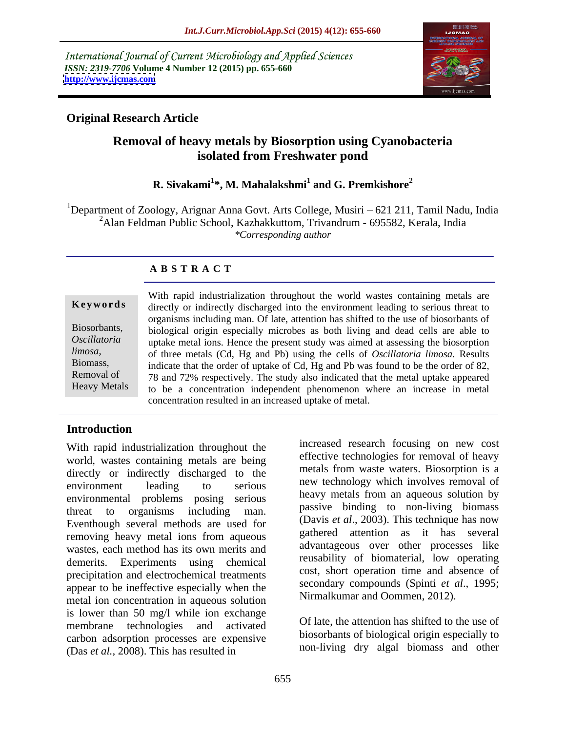International Journal of Current Microbiology and Applied Sciences *ISSN: 2319-7706* **Volume 4 Number 12 (2015) pp. 655-660 <http://www.ijcmas.com>**



## **Original Research Article**

# **Removal of heavy metals by Biosorption using Cyanobacteria isolated from Freshwater pond**

#### **R. Sivakami<sup>1</sup> \*, M. Mahalakshmi<sup>1</sup> and G. Premkishore<sup>2</sup>**

<sup>1</sup>Department of Zoology, Arignar Anna Govt. Arts College, Musiri – 621 211, Tamil Nadu, India 2Alan Feldman Public School, Kazhakkuttom, Trivandrum - 695582, Kerala, India *\*Corresponding author*

### **A B S T R A C T**

| Biosorbants, |  |
|--------------|--|
| Oscillatoria |  |

With rapid industrialization throughout the world wastes containing metals are **Keywords** directly or indirectly discharged into the environment leading to serious threat to organisms including man. Of late, attention has shifted to the use of biosorbants of biological origin especially microbes as both living and dead cells are able to Biosorbants, uptake metal ions. Hence the present study was aimed at assessing the biosorption *Oscillatoria*  of three metals (Cd, Hg and Pb) using the cells of *Oscillatoria limosa*. Results *limosa*, Biomass, indicate that the order of uptake of Cd, Hg and Pb was found to be the order of 82, Removal of 78 and 72% respectively. The study also indicated that the metal uptake appeared to be a concentration independent phenomenon where an increase in metal concentration resulted in an increased uptake of metal.

### **Introduction**

Heavy Metals

With rapid industrialization throughout the world, wastes containing metals are being directly or indirectly discharged to the environment leading to serious new econology which involves removal of environmental problems posing serious threat to organisms including man. Passive primarily to non-nying promass Eventhough several methods are used for removing heavy metal ions from aqueous wastes, each method has its own merits and demerits. Experiments using chemical precipitation and electrochemical treatments appear to be ineffective especially when the metal ion concentration in aqueous solution is lower than 50 mg/l while ion exchange membrane technologies and activated on the allen in the similar order of the second membrane technologies and activated carbon adsorption processes are expensive (Das *et al.,* 2008). This has resulted in

increased research focusing on new cost effective technologies for removal of heavy metals from waste waters. Biosorption is a new technology which involves removal of heavy metals from an aqueous solution by passive binding to non-living biomass (Davis *et al*., 2003). This technique has now gathered attention as it has several advantageous over other processes like reusability of biomaterial, low operating cost, short operation time and absence of secondary compounds (Spinti *et al*., 1995; Nirmalkumar and Oommen, 2012).

Of late, the attention has shifted to the use of biosorbants of biological origin especially to non-living dry algal biomass and other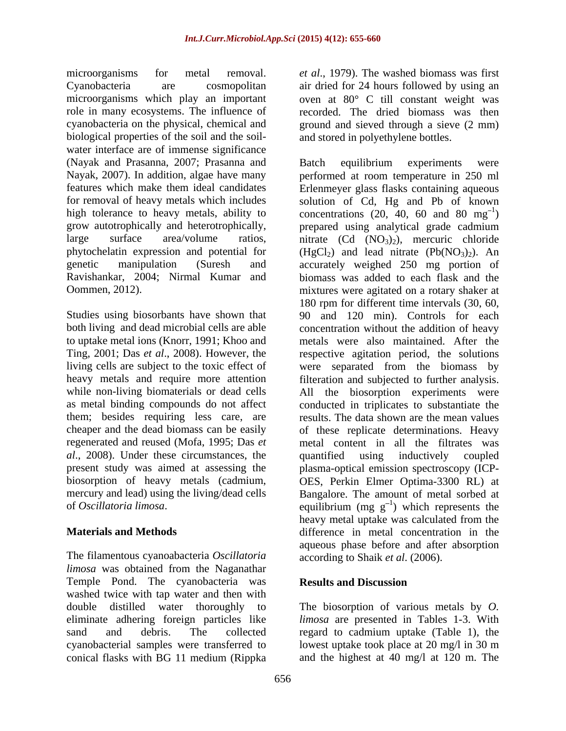microorganisms for metal removal. *et al*., 1979). The washed biomass was first Cyanobacteria are cosmopolitan air dried for 24 hours followed by using an microorganisms which play an important oven at 80° C till constant weight was role in many ecosystems. The influence of recorded. The dried biomass was then cyanobacteria on the physical, chemical and ground and sieved through a sieve (2 mm) biological properties of the soil and the soil water interface are of immense significance (Nayak and Prasanna, 2007; Prasanna and

both living and dead microbial cells are able *al*., 2008). Under these circumstances, the

The filamentous cyanoabacteria *Oscillatoria limosa* was obtained from the Naganathar Temple Pond. The cyanobacteria was washed twice with tap water and then with double distilled water thoroughly to The biosorption of various metals by *O.*  eliminate adhering foreign particles like *limosa* are presented in Tables 1-3. With sand and debris. The collected regard to cadmium uptake (Table 1), the cyanobacterial samples were transferred to lowest uptake took place at 20 mg/l in 30 m

and stored in polyethylene bottles.

Nayak, 2007). In addition, algae have many performed at room temperature in 250 ml features which make them ideal candidates Erlenmeyer glass flasks containing aqueous for removal of heavy metals which includes solution of Cd, Hg and Pb of known high tolerance to heavy metals, ability to concentrations  $(20, 40, 60 \text{ and } 80 \text{ mg}^{-1})$ grow autotrophically and heterotrophically, prepared using analytical grade cadmium large surface area/volume ratios, nitrate  $(Cd (NO<sub>3</sub>)<sub>2</sub>)$ , mercuric chloride phytochelatin expression and potential for  $(HgCl<sub>2</sub>)$  and lead nitrate  $(Pb(NO<sub>3</sub>)<sub>2</sub>)$ . An genetic manipulation (Suresh and accurately weighed 250 mg portion of Ravishankar, 2004; Nirmal Kumar and biomass was added to each flask and the Oommen, 2012). mixtures were agitated on a rotary shaker at Studies using biosorbants have shown that 90 and 120 min). Controls for each to uptake metal ions (Knorr, 1991; Khoo and metals were also maintained. After the Ting, 2001; Das *et al*., 2008). However, the respective agitation period, the solutions living cells are subject to the toxic effect of were separated from the biomass by heavy metals and require more attention filteration and subjected to further analysis. while non-living biomaterials or dead cells All the biosorption experiments were as metal binding compounds do not affect conducted in triplicates to substantiate the them; besides requiring less care, are results. The data shown are the mean values cheaper and the dead biomass can be easily of these replicate determinations. Heavy regenerated and reused (Mofa, 1995; Das *et*  metal content in all the filtrates was present study was aimed at assessing the plasma-optical emission spectroscopy (ICP biosorption of heavy metals (cadmium, OES, Perkin Elmer Optima-3300 RL) at mercury and lead) using the living/dead cells Bangalore. The amount of metal sorbed at of *Oscillatoria limosa*. equilibrium (mg g 1 ) which represents the **Materials and Methods** difference in metal concentration in the Batch equilibrium experiments were  $1<sub>\lambda</sub>$  $)$ 180 rpm for different time intervals (30, 60, concentration without the addition of heavy quantified using inductively coupled heavy metal uptake was calculated from the aqueous phase before and after absorption according to Shaik *et al*. (2006).

#### **Results and Discussion**

conical flasks with BG 11 medium (Rippka and the highest at 40 mg/l at 120 m. The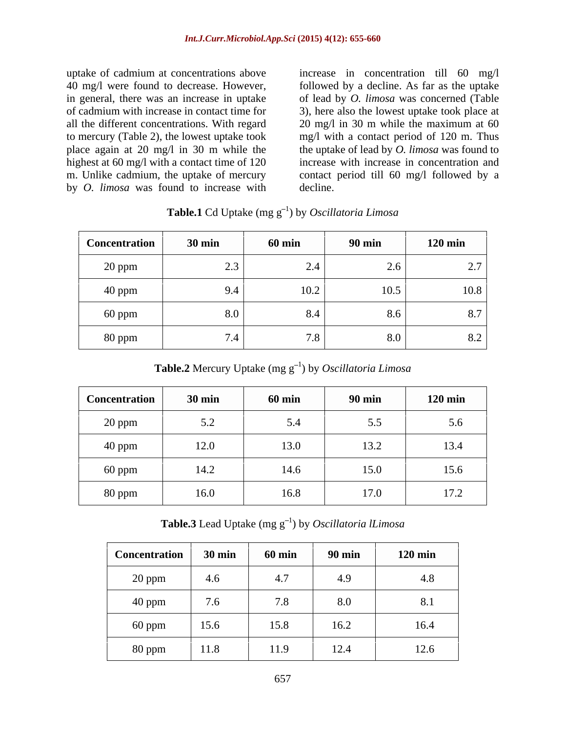uptake of cadmium at concentrations above increase in concentration till 60 mg/l place again at 20 mg/l in 30 m while the by *O. limosa* was found to increase with

40 mg/l were found to decrease. However, followed by a decline. As far as the uptake in general, there was an increase in uptake of lead by *O. limosa* was concerned (Table of cadmium with increase in contact time for 3), here also the lowest uptake took place at all the different concentrations. With regard 20 mg/l in 30 m while the maximum at 60 to mercury (Table 2), the lowest uptake took mg/l with a contact period of 120 m. Thus highest at 60 mg/l with a contact time of 120 increase with increase in concentration and m. Unlike cadmium, the uptake of mercury contact period till 60 mg/l followed by a the uptake of lead by *O. limosa* was found to decline.

| Concentration | <b>30 min</b> | $60 \text{ min}$ | <b>90 min</b> | $120 \text{ min}$ |
|---------------|---------------|------------------|---------------|-------------------|
| 20 ppm        | 2.3           | 2.4              | 2.6           | 2.7               |
| 40 ppm        | 9.4           | 10.2             | 10.5          | 10.8              |
| 60 ppm        | 8.0           | 8.4              | 8.6           | 87                |
| 80 ppm        | 7.4           | 7.8              | 8.0           | 8.2               |

**Table.1** Cd Uptake (mg g<sup>-1</sup>) by *Oscillatoria Limosa* 

**Table.2** Mercury Uptake (mg g<sup>-1</sup>) by *Oscillatoria Limosa* 

| <b>Concentration</b> | <b>30 min</b> | <b>60 min</b> | <b>90 min</b> | $120 \text{ min}$ |
|----------------------|---------------|---------------|---------------|-------------------|
| 20 ppm               | 5.2           | 5.4           | 5.5           | 5.6               |
| 40 ppm               | 12.0          | 13.0          | 13.2          | 13.4              |
| 60 ppm               | 14.2          | 14.6          | 15.0          | 15.6              |
| 80 ppm               | 16.0          | 16.8          | 17.0          | 17.2              |

**Table.3** Lead Uptake (mg  $g^{-1}$ ) by *Oscillatoria lLimosa* ) by *Oscillatoria lLimosa*

| Concentration | $30 \text{ min}$ | $60 \text{ min}$ | <b>90 min</b> | $120 \text{ min}$ |
|---------------|------------------|------------------|---------------|-------------------|
| 20 ppm        | 4.6              | $\sim$ $-$       | 4.9           | 4.8               |
| 40 ppm        | 7.6              | 7.8              | 8.0           | 8.1               |
| 60 ppm        | 15.6             | 15.8             | 16.2          | 16.4              |
| 80 ppm        | 11.8             | 11.9             | 12.4          | 12.6              |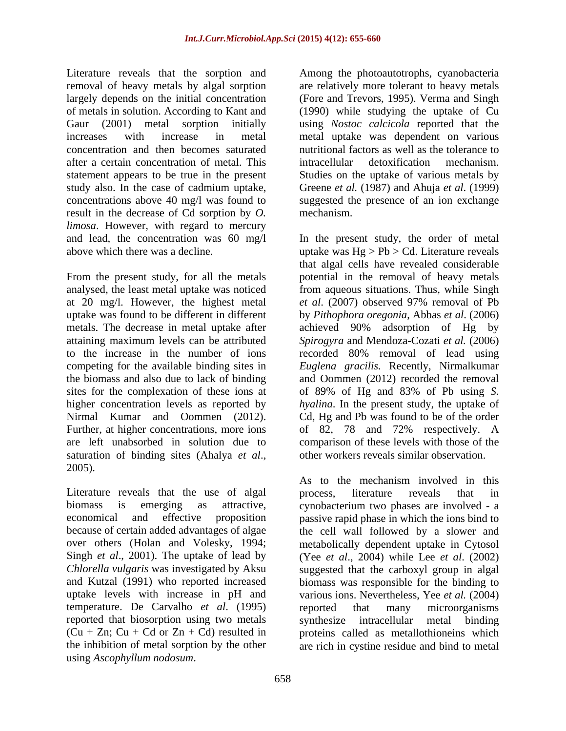Literature reveals that the sorption and Among the photoautotrophs, cyanobacteria removal of heavy metals by algal sorption largely depends on the initial concentration of metals in solution. According to Kant and (1990) while studying the uptake of Cu Gaur (2001) metal sorption initially using *Nostoc calcicola* reported that the increases with increase in metal metal uptake was dependent on various concentration and then becomes saturated nutritional factors as well as the tolerance to after a certain concentration of metal. This statement appears to be true in the present Studies on the uptake of various metals by study also. In the case of cadmium uptake, Greene *et al.* (1987) and Ahuja *et al*. (1999) concentrations above 40 mg/l was found to suggested the presence of an ion exchange result in the decrease of Cd sorption by *O. limosa*. However, with regard to mercury

metals. The decrease in metal uptake after achieved 90% adsorption of Hg by saturation of binding sites (Ahalya *et al*., 2005).

Literature reveals that the use of algal process, literature reveals that in Singh *et al*., 2001). The uptake of lead by temperature. De Carvalho *et al*. (1995) reported that biosorption using two metals synthesize intracellular metal binding

are relatively more tolerant to heavy metals (Fore and Trevors, 1995). Verma and Singh intracellular detoxification mechanism. mechanism.

and lead, the concentration was 60 mg/l In the present study, the order of metal above which there was a decline. uptake was Hg > Pb > Cd. Literature reveals From the present study, for all the metals potential in the removal of heavy metals analysed, the least metal uptake was noticed from aqueous situations. Thus, while Singh at 20 mg/l. However, the highest metal *et al*. (2007) observed 97% removal of Pb uptake was found to be different in different by *Pithophora oregonia*, Abbas *et al*. (2006) attaining maximum levels can be attributed *Spirogyra* and Mendoza-Cozati *et al.* (2006) to the increase in the number of ions recorded 80% removal of lead using competing for the available binding sites in *Euglena gracilis.* Recently, Nirmalkumar the biomass and also due to lack of binding and Oommen (2012) recorded the removal sites for the complexation of these ions at of 89% of Hg and 83% of Pb using *S.*  higher concentration levels as reported by *hyalina*. In the present study, the uptake of Nirmal Kumar and Oommen (2012). Cd, Hg and Pb was found to be of the order Further, at higher concentrations, more ions of 82, 78 and 72% respectively. A are left unabsorbed in solution due to comparison of these levels with those of the Using the method in the present of the method and the method of the method supergraphs, examples are reached to the method supergraphs of the method of the method supergraphs of the method of the method of the method of th that algal cells have revealed considerable achieved 90% adsorption of Hg by other workers reveals similar observation.

biomass is emerging as attractive, cynobacterium two phases are involved - a economical and effective proposition passive rapid phase in which the ions bind to because of certain added advantages of algae the cell wall followed by a slower and over others (Holan and Volesky, 1994; metabolically dependent uptake in Cytosol *Chlorella vulgaris* was investigated by Aksu suggested that the carboxyl group in algal and Kutzal (1991) who reported increased biomass was responsible for the binding to uptake levels with increase in pH and various ions. Nevertheless, Yee *et al.* (2004)  $(Cu + Zn; Cu + Cd or Zn + Cd)$  resulted in proteins called as metallothioneins which the inhibition of metal sorption by the other are rich in cystine residue and bind to metalAs to the mechanism involved in this process, literature reveals that in (Yee *et al*., 2004) while Lee *et al*. (2002) reported that many microorganisms synthesize intracellular metal binding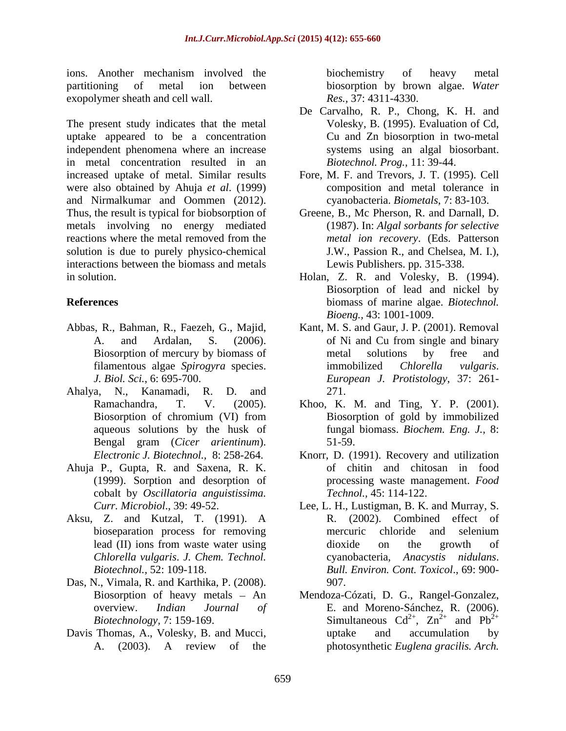ions. Another mechanism involved the biochemistry of heavy metal partitioning of metal ion between biosorption by brown algae. *Water*  exopolymer sheath and cell wall.

The present study indicates that the metal uptake appeared to be a concentration independent phenomena where an increase in metal concentration resulted in an increased uptake of metal. Similar results Fore, M. F. and Trevors, J. T. (1995). Cell were also obtained by Ahuja *et al*. (1999) and Nirmalkumar and Oommen (2012). Thus, the result is typical for biobsorption of metals involving no energy mediated reactions where the metal removed from the *metal ion recovery*. (Eds. Patterson solution is due to purely physico-chemical interactions between the biomass and metals

- 
- Ahalya, N., Kanamadi, R. D. and
- Ahuja P., Gupta, R. and Saxena, R. K. (1999). Sorption and desorption of cobalt by *Oscillatoria anguistissima.*
- Aksu, Z. and Kutzal, T. (1991). A *Chlorella vulgaris*. *J. Chem. Technol.*
- Das, N., Vimala, R. and Karthika, P. (2008).
- Davis Thomas, A., Volesky, B. and Mucci, and uptake and accumulation by

biochemistry of heavy metal *Res.,* 37: 4311-4330.

- De Carvalho, R. P., Chong, K. H. and Volesky, B. (1995). Evaluation of Cd, Cu and Zn biosorption in two-metal systems using an algal biosorbant. *Biotechnol. Prog.,* 11: 39-44.
- composition and metal tolerance in cyanobacteria. *Biometals*, 7: 83-103.
- Greene, B., Mc Pherson, R. and Darnall, D. (1987). In: *Algal sorbants for selective metal ion recovery*. (Eds. Patterson J.W., Passion R., and Chelsea, M. I.), Lewis Publishers. pp. 315-338.
- in solution. Holan, Z. R. and Volesky, B. (1994). **References** biomass of marine algae. *Biotechnol.*  Biosorption of lead and nickel by *Bioeng.,* 43: 1001-1009.
- Abbas, R., Bahman, R., Faezeh, G., Majid, Kant, M. S. and Gaur, J. P. (2001). Removal A. and Ardalan, S. (2006). of Ni and Cu from single and binary Biosorption of mercury by biomass of metal solutions by free and filamentous algae *Spirogyra* species. *J. Biol. Sci.*, 6: 695-700. *European J. Protistology*, 37: 261- Kant, M. S. and Gaur, J. P. (2001). Removal of Ni and Cu from single and binary metal solutions by free and immobilized *Chlorella vulgaris*. 271.
	- Ramachandra, T. V. (2005). Khoo, K. M. and Ting, Y. P. (2001). Biosorption of chromium (VI) from aqueous solutions by the husk of fungal biomass. *Biochem. Eng. J.,* 8: Bengal gram (*Cicer arientinum*). Biosorption of gold by immobilized 51-59.
	- *Electronic J. Biotechnol.,* 8: 258-264. Knorr, D. (1991). Recovery and utilization of chitin and chitosan in food processing waste management. *Food Technol.,* 45: 114-122.
	- *Curr. Microbiol*., 39: 49-52. Lee, L. H., Lustigman, B. K. and Murray, S. bioseparation process for removing mercuric chloride and selenium lead (II) ions from waste water using dioxide on the growth of *Biotechnol.,* 52: 109-118. *Bull. Environ. Cont. Toxicol*., 69: 900- R. (2002). Combined effect of mercuric chloride and selenium dioxide on the growth of cyanobacteria, *Anacystis nidulans*. 907.
	- Biosorption of heavy metals An Mendoza-Cózati, D. G., Rangel-Gonzalez, overview. *Indian Journal of* E. and Moreno-Sánchez, R. (2006). *Biotechnology,* 7: 159-169. Simultaneous  $Cd^{2+}$ ,  $Zn^{2+}$  and  $Pb^{2+}$ A. (2003). A review of the photosynthetic *Euglena gracilis. Arch.*  $2^+$  7n<sup>2+</sup> and  $Dh^{2+}$ ,  $\text{Zn}^{2+}$  and  $\text{Pb}^{2+}$  $^{2+}$  and  $\mathbf{D}h^{2+}$ and  $Pb^{2+}$  $2+$ uptake and accumulation by photosynthetic *Euglena gracilis. Arch.*